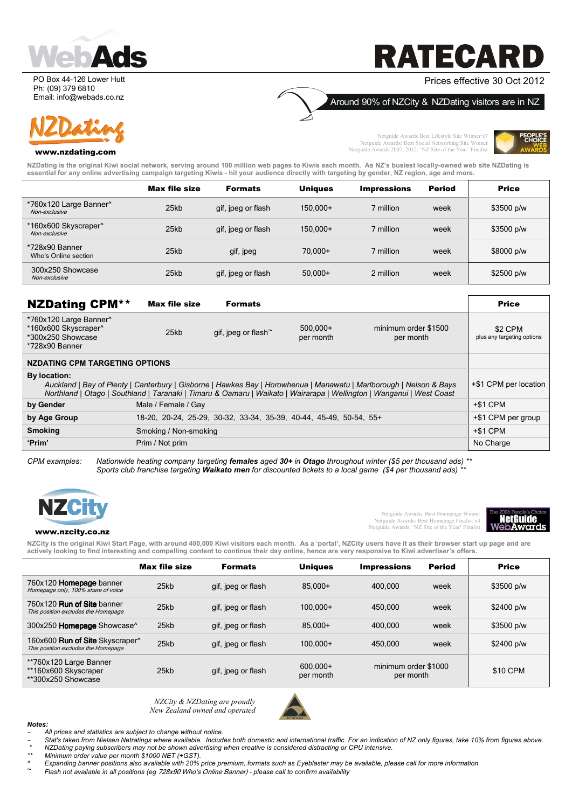

PO Box 44-126 Lower Hutt Ph: (09) 379 6810 Email: info@webads.co.nz

#### www.nzdating.com

# **RATECA**

#### Prices effective 30 Oct 2012

Around 90% of NZCity & NZDating visitors are in NZ

Netguide Awards Best Lifestyle Site Winner x7 Netguide Awards: Best Social Networking Site Winner Netguide Awards 2007, 2012: 'NZ Site of the Year' Finalist



**NZDating is the original Kiwi social network, serving around 100 million web pages to Kiwis each month. As NZ's busiest locally-owned web site NZDating is essential for any online advertising campaign targeting Kiwis - hit your audience directly with targeting by gender, NZ region, age and more.** 

|                                         | <b>Max file size</b> | <b>Formats</b>     | <b>Uniques</b> | <b>Impressions</b> | <b>Period</b> | <b>Price</b> |
|-----------------------------------------|----------------------|--------------------|----------------|--------------------|---------------|--------------|
| *760x120 Large Banner^<br>Non-exclusive | 25kb                 | gif, jpeg or flash | 150.000+       | ' million          | week          | \$3500 p/w   |
| *160x600 Skyscraper^<br>Non-exclusive   | 25kb                 | gif, jpeg or flash | 150.000+       | ' million          | week          | \$3500 p/w   |
| *728x90 Banner<br>Who's Online section  | 25kb                 | gif, jpeg          | $70.000+$      | million            | week          | \$8000 p/w   |
| 300x250 Showcase<br>Non-exclusive       | 25kb                 | gif, jpeg or flash | $50.000+$      | 2 million          | week          | \$2500 p/w   |

| <b>NZDating CPM**</b>                                                                                                                                                                                                                                        | <b>Max file size</b>  | <b>Formats</b>                                                     |                         |                                   | <b>Price</b>                          |
|--------------------------------------------------------------------------------------------------------------------------------------------------------------------------------------------------------------------------------------------------------------|-----------------------|--------------------------------------------------------------------|-------------------------|-----------------------------------|---------------------------------------|
| *760x120 Large Banner^<br>*160x600 Skyscraper^<br>*300x250 Showcase<br>*728x90 Banner                                                                                                                                                                        | 25kb                  | gif, jpeg or flash <sup>~</sup>                                    | $500.000+$<br>per month | minimum order \$1500<br>per month | \$2 CPM<br>plus any targeting options |
| <b>NZDATING CPM TARGETING OPTIONS</b>                                                                                                                                                                                                                        |                       |                                                                    |                         |                                   |                                       |
| By location:<br>Auckland   Bay of Plenty   Canterbury   Gisborne   Hawkes Bay   Horowhenua   Manawatu   Marlborough   Nelson & Bays<br>Northland   Otago   Southland   Taranaki   Timaru & Oamaru   Waikato   Wairarapa   Wellington   Wanganui   West Coast |                       |                                                                    |                         |                                   | +\$1 CPM per location                 |
| by Gender                                                                                                                                                                                                                                                    | Male / Female / Gay   |                                                                    |                         |                                   | $+ $1$ CPM                            |
| by Age Group                                                                                                                                                                                                                                                 |                       | 18-20, 20-24, 25-29, 30-32, 33-34, 35-39, 40-44, 45-49, 50-54, 55+ |                         |                                   | +\$1 CPM per group                    |
| <b>Smoking</b>                                                                                                                                                                                                                                               | Smoking / Non-smoking |                                                                    |                         |                                   | $+ $1$ CPM                            |
| 'Prim'                                                                                                                                                                                                                                                       | Prim / Not prim       |                                                                    |                         |                                   | No Charge                             |

*CPM examples: Nationwide heating company targeting females aged 30+ in Otago throughout winter (\$5 per thousand ads) \*\* Sports club franchise targeting Waikato men for discounted tickets to a local game (\$4 per thousand ads) \*\** 



Netguide Awards: Best Homepage Winner Netguide Awards: Best Homepage Finalist x4 Netguide Awards: 'NZ Site of the Year' Finalist



#### www.nzcity.co.nz

**NZCity is the original Kiwi Start Page, with around 400,000 Kiwi visitors each month. As a 'portal', NZCity users have it as their browser start up page and are actively looking to find interesting and compelling content to continue their day online, hence are very responsive to Kiwi advertiser's offers.** 

|                                                                                           | <b>Max file size</b> | <b>Formats</b>     | <b>Uniques</b>        | <b>Impressions</b>                | Period | <b>Price</b> |
|-------------------------------------------------------------------------------------------|----------------------|--------------------|-----------------------|-----------------------------------|--------|--------------|
| 760x120 Homepage banner<br>Homepage only, 100% share of voice                             | 25kb                 | gif, jpeg or flash | 85.000+               | 400.000                           | week   | \$3500 p/w   |
| 760x120 <b>Run of Site</b> banner<br>This position excludes the Homepage                  | 25kb                 | gif, jpeg or flash | $100.000+$            | 450.000                           | week   | \$2400 p/w   |
| 300x250 Homepage Showcase^                                                                | 25kb                 | gif, jpeg or flash | $85.000+$             | 400.000                           | week   | \$3500 p/w   |
| 160x600 <b>Run of Site</b> Skyscraper <sup>^</sup><br>This position excludes the Homepage | 25kb                 | gif, jpeg or flash | 100.000+              | 450.000                           | week   | \$2400 p/w   |
| **760x120 Large Banner<br>**160x600 Skyscraper<br>**300x250 Showcase                      | 25kb                 | gif, jpeg or flash | 600.000+<br>per month | minimum order \$1000<br>per month |        | \$10 CPM     |

*NZCity & NZDating are proudly New Zealand owned and operated* 



- *Notes:*  - *All prices and statistics are subject to change without notice.*
- Stat's taken from Nielsen Netratings where available. Includes both domestic and international traffic. For an indication of NZ only figures, take 10% from figures above.  *\* NZDating paying subscribers may not be shown advertising when creative is considered distracting or CPU intensive.*
- *\*\* Minimum order value per month \$1000 NET (+GST).*
- *^ Expanding banner positions also available with 20% price premium, formats such as Eyeblaster may be available, please call for more information*
- ~ *Flash not available in all positions (eg* 728x90 Who's Online Banner) *please call to confirm availability*